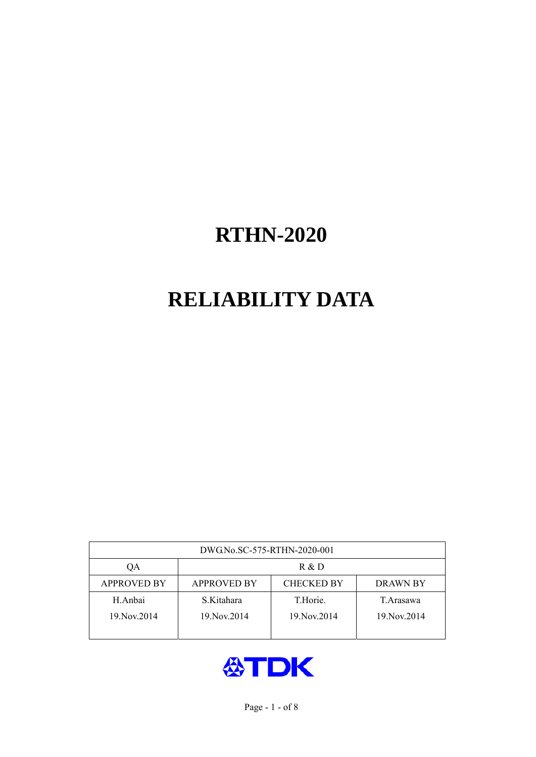# **RELIABILITY DATA**

| DWG.No.SC-575-RTHN-2020-001 |                                                     |               |               |  |  |  |  |
|-----------------------------|-----------------------------------------------------|---------------|---------------|--|--|--|--|
| OA                          | R & D                                               |               |               |  |  |  |  |
| <b>APPROVED BY</b>          | <b>CHECKED BY</b><br><b>APPROVED BY</b><br>DRAWN BY |               |               |  |  |  |  |
| H.Anbai                     | S.Kitahara                                          | T.Horie.      | T. Arasawa    |  |  |  |  |
| 19. Nov. 2014               | 19. Nov. 2014                                       | 19. Nov. 2014 | 19. Nov. 2014 |  |  |  |  |
|                             |                                                     |               |               |  |  |  |  |

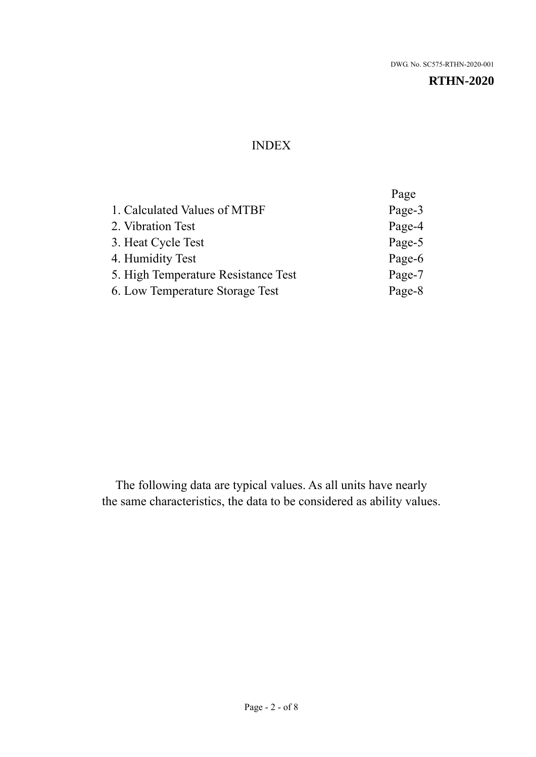#### INDEX

|                                     | Page   |
|-------------------------------------|--------|
| 1. Calculated Values of MTBF        | Page-3 |
| 2. Vibration Test                   | Page-4 |
| 3. Heat Cycle Test                  | Page-5 |
| 4. Humidity Test                    | Page-6 |
| 5. High Temperature Resistance Test | Page-7 |
| 6. Low Temperature Storage Test     | Page-8 |
|                                     |        |

The following data are typical values. As all units have nearly the same characteristics, the data to be considered as ability values.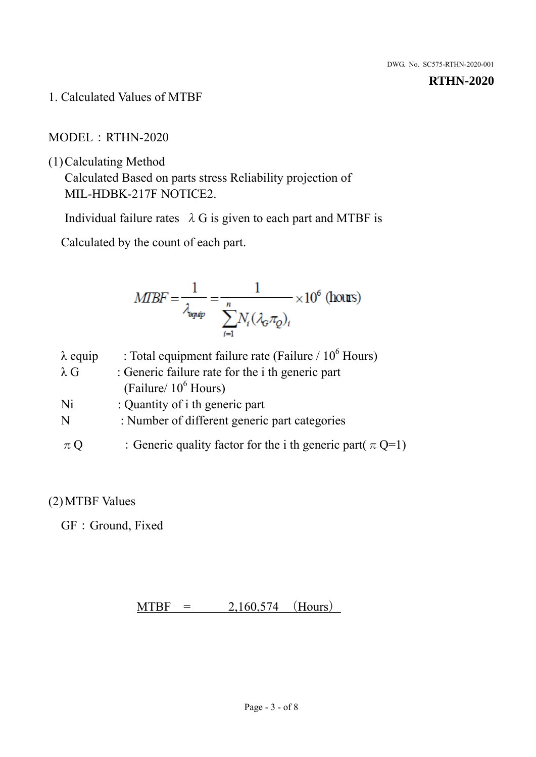1. Calculated Values of MTBF

MODEL:RTHN-2020

(1)Calculating Method

Calculated Based on parts stress Reliability projection of MIL-HDBK-217F NOTICE2.

Individual failure rates  $\lambda$  G is given to each part and MTBF is

Calculated by the count of each part.

$$
MBF = \frac{1}{\lambda_{\text{expip}}} = \frac{1}{\sum_{i=1}^{n} N_i (\lambda_{\text{G}} \pi_Q)_i} \times 10^6 \text{ (hours)}
$$

| $\lambda$ equip | : Total equipment failure rate (Failure $/ 10^6$ Hours)        |
|-----------------|----------------------------------------------------------------|
| $\lambda$ G     | : Generic failure rate for the <i>i</i> th generic part        |
|                 | (Failure/ $10^6$ Hours)                                        |
| Ni              | : Quantity of i th generic part                                |
| N               | : Number of different generic part categories                  |
| $\pi$ Q         | : Generic quality factor for the i th generic part( $\pi$ Q=1) |

### (2)MTBF Values

GF: Ground, Fixed

 $MTBF = 2,160,574$  (Hours)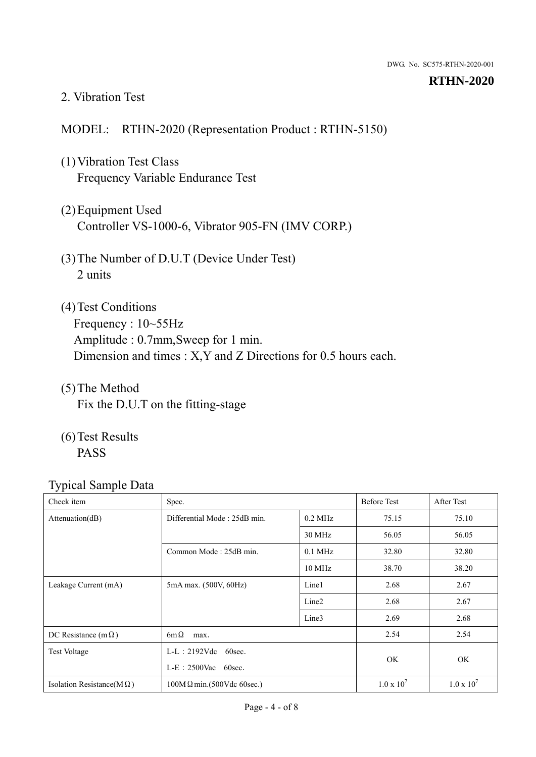#### 2. Vibration Test

#### MODEL: RTHN-2020 (Representation Product : RTHN-5150)

- (1)Vibration Test Class Frequency Variable Endurance Test
- (2)Equipment Used Controller VS-1000-6, Vibrator 905-FN (IMV CORP.)
- (3)The Number of D.U.T (Device Under Test) 2 units
- (4)Test Conditions Frequency : 10~55Hz Amplitude : 0.7mm,Sweep for 1 min. Dimension and times : X,Y and Z Directions for 0.5 hours each.
- (5)The Method Fix the D.U.T on the fitting-stage
- (6)Test Results PASS

| Check item                        | Spec.                            |                   | <b>Before Test</b> | After Test        |
|-----------------------------------|----------------------------------|-------------------|--------------------|-------------------|
| Attenuation(dB)                   | Differential Mode: 25dB min.     | $0.2$ MHz         | 75.15              | 75.10             |
|                                   |                                  | 30 MHz            | 56.05              | 56.05             |
|                                   | Common Mode: 25dB min.           | $0.1$ MHz         | 32.80              | 32.80             |
|                                   |                                  | 10 MHz            | 38.70              | 38.20             |
| Leakage Current (mA)              | 5mA max. (500V, 60Hz)            | Line1             | 2.68               | 2.67              |
|                                   |                                  | Line <sub>2</sub> | 2.68               | 2.67              |
|                                   |                                  | Line3             | 2.69               | 2.68              |
| DC Resistance (m $\Omega$ )       | $6m\Omega$<br>max.               |                   |                    | 2.54              |
| <b>Test Voltage</b>               | $L-L: 2192Vdc$ 60sec.            |                   |                    |                   |
|                                   | $L-E$ : 2500Vac 60sec.           |                   | OK.                | OK                |
| Isolation Resistance( $M\Omega$ ) | $100M\Omega$ min.(500Vdc 60sec.) |                   | $1.0 \times 10^7$  | $1.0 \times 10^7$ |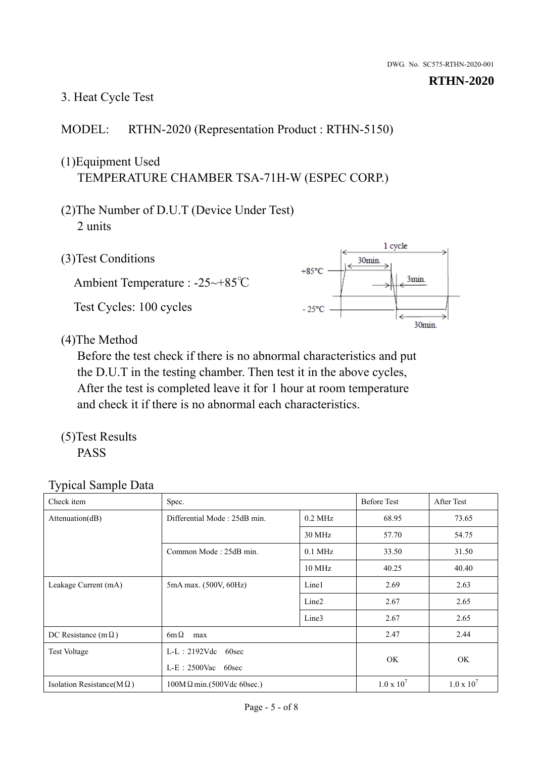# 3. Heat Cycle Test

## MODEL: RTHN-2020 (Representation Product : RTHN-5150)

# (1)Equipment Used TEMPERATURE CHAMBER TSA-71H-W (ESPEC CORP.)

- (2)The Number of D.U.T (Device Under Test) 2 units
- (3)Test Conditions

Ambient Temperature : -25~+85℃ Test Cycles: 100 cycles



(4)The Method

Before the test check if there is no abnormal characteristics and put the D.U.T in the testing chamber. Then test it in the above cycles, After the test is completed leave it for 1 hour at room temperature and check it if there is no abnormal each characteristics.

(5)Test Results PASS

| - -<br>Check item                 | Spec.                                          |                   | <b>Before Test</b> | After Test        |
|-----------------------------------|------------------------------------------------|-------------------|--------------------|-------------------|
| Attenuation(dB)                   | Differential Mode: 25dB min.                   | $0.2$ MHz         | 68.95              | 73.65             |
|                                   |                                                | 30 MHz            | 57.70              | 54.75             |
|                                   | Common Mode: 25dB min.                         | $0.1$ MHz         | 33.50              | 31.50             |
|                                   |                                                | $10$ MHz          | 40.25              | 40.40             |
| Leakage Current (mA)              | 5mA max. (500V, 60Hz)                          | Line1             | 2.69               | 2.63              |
|                                   |                                                | Line <sub>2</sub> | 2.67               | 2.65              |
|                                   |                                                | Line3             | 2.67               | 2.65              |
| DC Resistance (m $\Omega$ )       | $6m\Omega$<br>max                              |                   |                    | 2.44              |
| <b>Test Voltage</b>               | $L-L$ : 2192Vdc 60sec<br>$L-E$ : 2500Vac 60sec |                   |                    | OK                |
|                                   |                                                |                   | OK.                |                   |
| Isolation Resistance(M $\Omega$ ) | $100M\Omega$ min.(500Vdc 60sec.)               |                   | $1.0 \times 10^7$  | $1.0 \times 10^7$ |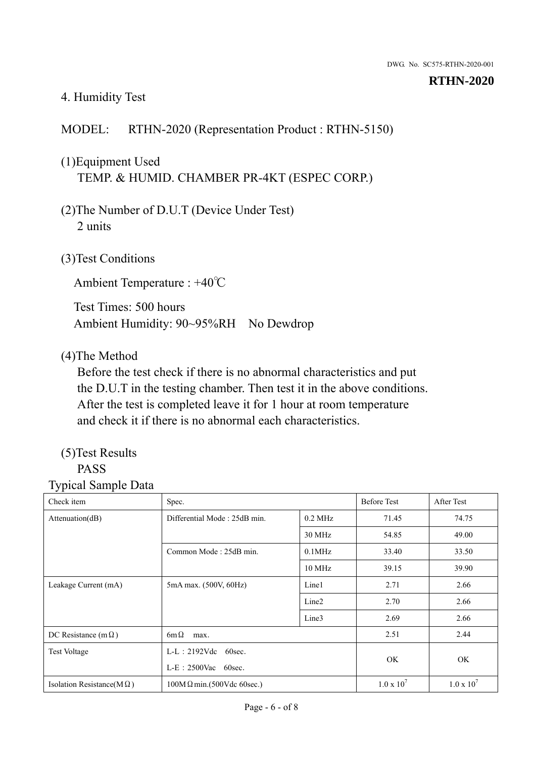#### 4. Humidity Test

### MODEL: RTHN-2020 (Representation Product : RTHN-5150)

# (1)Equipment Used TEMP. & HUMID. CHAMBER PR-4KT (ESPEC CORP.)

- (2)The Number of D.U.T (Device Under Test) 2 units
- (3)Test Conditions

Ambient Temperature : +40℃

Test Times: 500 hours Ambient Humidity: 90~95%RH No Dewdrop

#### (4)The Method

Before the test check if there is no abnormal characteristics and put the D.U.T in the testing chamber. Then test it in the above conditions. After the test is completed leave it for 1 hour at room temperature and check it if there is no abnormal each characteristics.

#### (5)Test Results PASS

| Check item                        | Spec.                            |                        |                   | <b>After Test</b> |
|-----------------------------------|----------------------------------|------------------------|-------------------|-------------------|
| Attenuation(dB)                   | Differential Mode: 25dB min.     | $0.2$ MHz              | 71.45             | 74.75             |
|                                   |                                  | 30 MHz                 | 54.85             | 49.00             |
|                                   | Common Mode: 25dB min.           | $0.1$ MHz              | 33.40             | 33.50             |
|                                   |                                  | $10$ MHz               | 39.15             | 39.90             |
| Leakage Current (mA)              | 5mA max. (500V, 60Hz)            | Line1                  | 2.71              | 2.66              |
|                                   |                                  | Line <sub>2</sub>      | 2.70              | 2.66              |
|                                   |                                  | Line3                  | 2.69              | 2.66              |
| DC Resistance (m $\Omega$ )       | $6m\Omega$<br>max.               |                        |                   | 2.44              |
| <b>Test Voltage</b>               | $L-L: 2192Vdc$<br>60sec.         | $L-E$ : 2500Vac 60sec. |                   |                   |
|                                   |                                  |                        |                   | <b>OK</b>         |
| Isolation Resistance(M $\Omega$ ) | $100M\Omega$ min.(500Vdc 60sec.) |                        | $1.0 \times 10^7$ | $1.0 \times 10^7$ |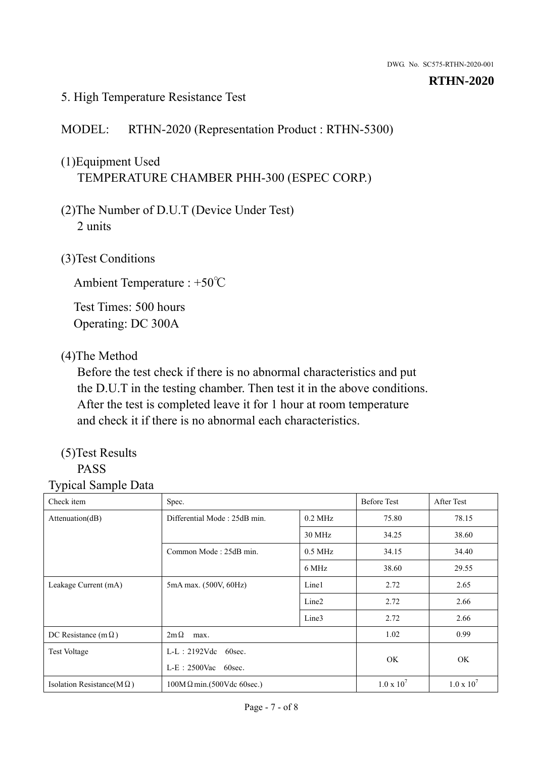#### 5. High Temperature Resistance Test

#### MODEL: RTHN-2020 (Representation Product : RTHN-5300)

# (1)Equipment Used TEMPERATURE CHAMBER PHH-300 (ESPEC CORP.)

- (2)The Number of D.U.T (Device Under Test) 2 units
- (3)Test Conditions

Ambient Temperature : +50℃

Test Times: 500 hours Operating: DC 300A

#### (4)The Method

Before the test check if there is no abnormal characteristics and put the D.U.T in the testing chamber. Then test it in the above conditions. After the test is completed leave it for 1 hour at room temperature and check it if there is no abnormal each characteristics.

#### (5)Test Results PASS

| Check item                        | Spec.                            |                   | <b>Before Test</b>  | After Test          |
|-----------------------------------|----------------------------------|-------------------|---------------------|---------------------|
| Attenuation(dB)                   | Differential Mode: 25dB min.     | $0.2$ MHz         | 75.80               | 78.15               |
|                                   |                                  | 30 MHz            | 34.25               | 38.60               |
|                                   | Common Mode: 25dB min.           | $0.5$ MHz         | 34.15               | 34.40               |
|                                   |                                  | 6 MHz             | 38.60               | 29.55               |
| Leakage Current (mA)              | 5mA max. (500V, 60Hz)            | Line1             | 2.72                | 2.65                |
|                                   |                                  | Line <sub>2</sub> | 2.72                | 2.66                |
|                                   |                                  | Line3             | 2.72                | 2.66                |
| DC Resistance (m $\Omega$ )       | $2m\Omega$<br>max.               |                   | 1.02                | 0.99                |
| <b>Test Voltage</b>               | $L-L: 2192Vdc$<br>60sec.         |                   |                     |                     |
|                                   | $L-E$ : 2500Vac 60sec.           |                   | OK                  | OK                  |
| Isolation Resistance(M $\Omega$ ) | $100M\Omega$ min.(500Vdc 60sec.) |                   | $1.0 \times 10^{7}$ | $1.0 \times 10^{7}$ |